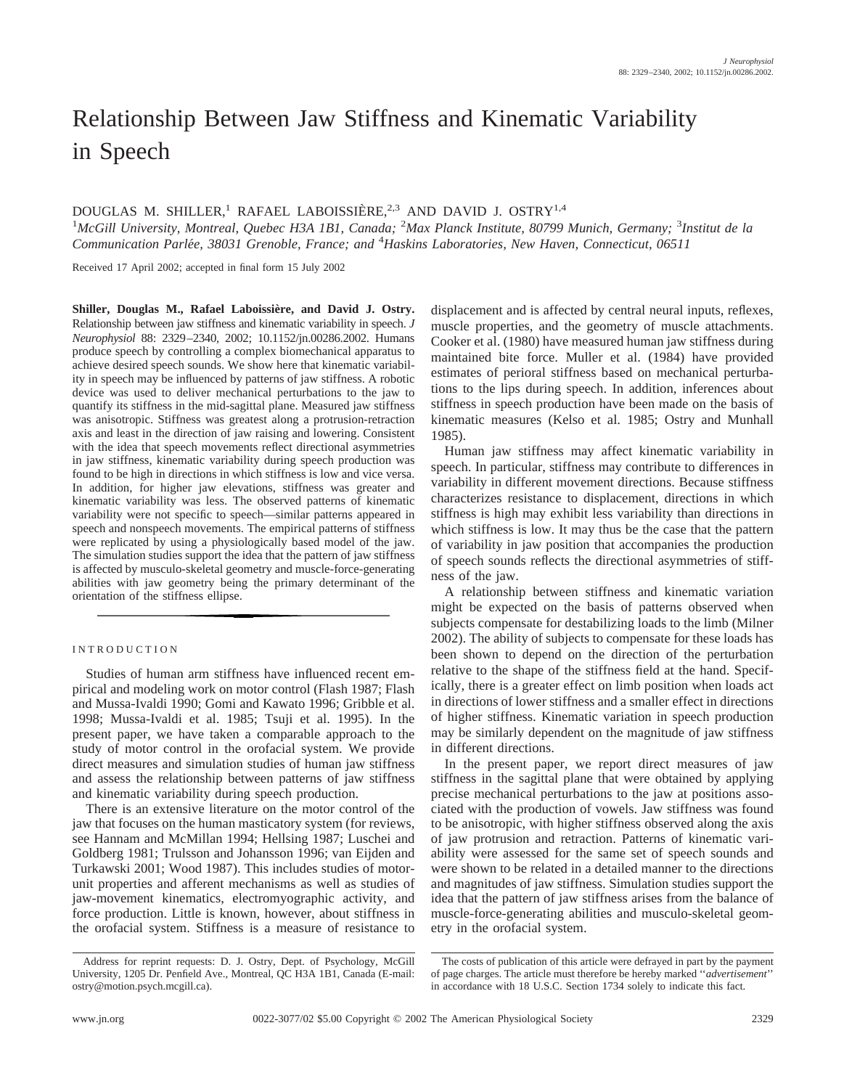# Relationship Between Jaw Stiffness and Kinematic Variability in Speech

DOUGLAS M. SHILLER,<sup>1</sup> RAFAEL LABOISSIÈRE,<sup>2,3</sup> AND DAVID J. OSTRY<sup>1,4</sup> <sup>1</sup>McGill University, Montreal, Quebec H3A 1B1, Canada; <sup>2</sup>Max Planck Institute, 80799 Munich, Germany; <sup>3</sup>Institut de la *Communication Parle´e, 38031 Grenoble, France; and* <sup>4</sup> *Haskins Laboratories, New Haven, Connecticut, 06511*

Received 17 April 2002; accepted in final form 15 July 2002

Shiller, Douglas M., Rafael Laboissière, and David J. Ostry. Relationship between jaw stiffness and kinematic variability in speech. *J Neurophysiol* 88: 2329–2340, 2002; 10.1152/jn.00286.2002. Humans produce speech by controlling a complex biomechanical apparatus to achieve desired speech sounds. We show here that kinematic variability in speech may be influenced by patterns of jaw stiffness. A robotic device was used to deliver mechanical perturbations to the jaw to quantify its stiffness in the mid-sagittal plane. Measured jaw stiffness was anisotropic. Stiffness was greatest along a protrusion-retraction axis and least in the direction of jaw raising and lowering. Consistent with the idea that speech movements reflect directional asymmetries in jaw stiffness, kinematic variability during speech production was found to be high in directions in which stiffness is low and vice versa. In addition, for higher jaw elevations, stiffness was greater and kinematic variability was less. The observed patterns of kinematic variability were not specific to speech—similar patterns appeared in speech and nonspeech movements. The empirical patterns of stiffness were replicated by using a physiologically based model of the jaw. The simulation studies support the idea that the pattern of jaw stiffness is affected by musculo-skeletal geometry and muscle-force-generating abilities with jaw geometry being the primary determinant of the orientation of the stiffness ellipse.

#### INTRODUCTION

Studies of human arm stiffness have influenced recent empirical and modeling work on motor control (Flash 1987; Flash and Mussa-Ivaldi 1990; Gomi and Kawato 1996; Gribble et al. 1998; Mussa-Ivaldi et al. 1985; Tsuji et al. 1995). In the present paper, we have taken a comparable approach to the study of motor control in the orofacial system. We provide direct measures and simulation studies of human jaw stiffness and assess the relationship between patterns of jaw stiffness and kinematic variability during speech production.

There is an extensive literature on the motor control of the jaw that focuses on the human masticatory system (for reviews, see Hannam and McMillan 1994; Hellsing 1987; Luschei and Goldberg 1981; Trulsson and Johansson 1996; van Eijden and Turkawski 2001; Wood 1987). This includes studies of motorunit properties and afferent mechanisms as well as studies of jaw-movement kinematics, electromyographic activity, and force production. Little is known, however, about stiffness in the orofacial system. Stiffness is a measure of resistance to displacement and is affected by central neural inputs, reflexes, muscle properties, and the geometry of muscle attachments. Cooker et al. (1980) have measured human jaw stiffness during maintained bite force. Muller et al. (1984) have provided estimates of perioral stiffness based on mechanical perturbations to the lips during speech. In addition, inferences about stiffness in speech production have been made on the basis of kinematic measures (Kelso et al. 1985; Ostry and Munhall 1985).

Human jaw stiffness may affect kinematic variability in speech. In particular, stiffness may contribute to differences in variability in different movement directions. Because stiffness characterizes resistance to displacement, directions in which stiffness is high may exhibit less variability than directions in which stiffness is low. It may thus be the case that the pattern of variability in jaw position that accompanies the production of speech sounds reflects the directional asymmetries of stiffness of the jaw.

A relationship between stiffness and kinematic variation might be expected on the basis of patterns observed when subjects compensate for destabilizing loads to the limb (Milner 2002). The ability of subjects to compensate for these loads has been shown to depend on the direction of the perturbation relative to the shape of the stiffness field at the hand. Specifically, there is a greater effect on limb position when loads act in directions of lower stiffness and a smaller effect in directions of higher stiffness. Kinematic variation in speech production may be similarly dependent on the magnitude of jaw stiffness in different directions.

In the present paper, we report direct measures of jaw stiffness in the sagittal plane that were obtained by applying precise mechanical perturbations to the jaw at positions associated with the production of vowels. Jaw stiffness was found to be anisotropic, with higher stiffness observed along the axis of jaw protrusion and retraction. Patterns of kinematic variability were assessed for the same set of speech sounds and were shown to be related in a detailed manner to the directions and magnitudes of jaw stiffness. Simulation studies support the idea that the pattern of jaw stiffness arises from the balance of muscle-force-generating abilities and musculo-skeletal geometry in the orofacial system.

Address for reprint requests: D. J. Ostry, Dept. of Psychology, McGill University, 1205 Dr. Penfield Ave., Montreal, QC H3A 1B1, Canada (E-mail: ostry@motion.psych.mcgill.ca).

The costs of publication of this article were defrayed in part by the payment of page charges. The article must therefore be hereby marked ''*advertisement*'' in accordance with 18 U.S.C. Section 1734 solely to indicate this fact.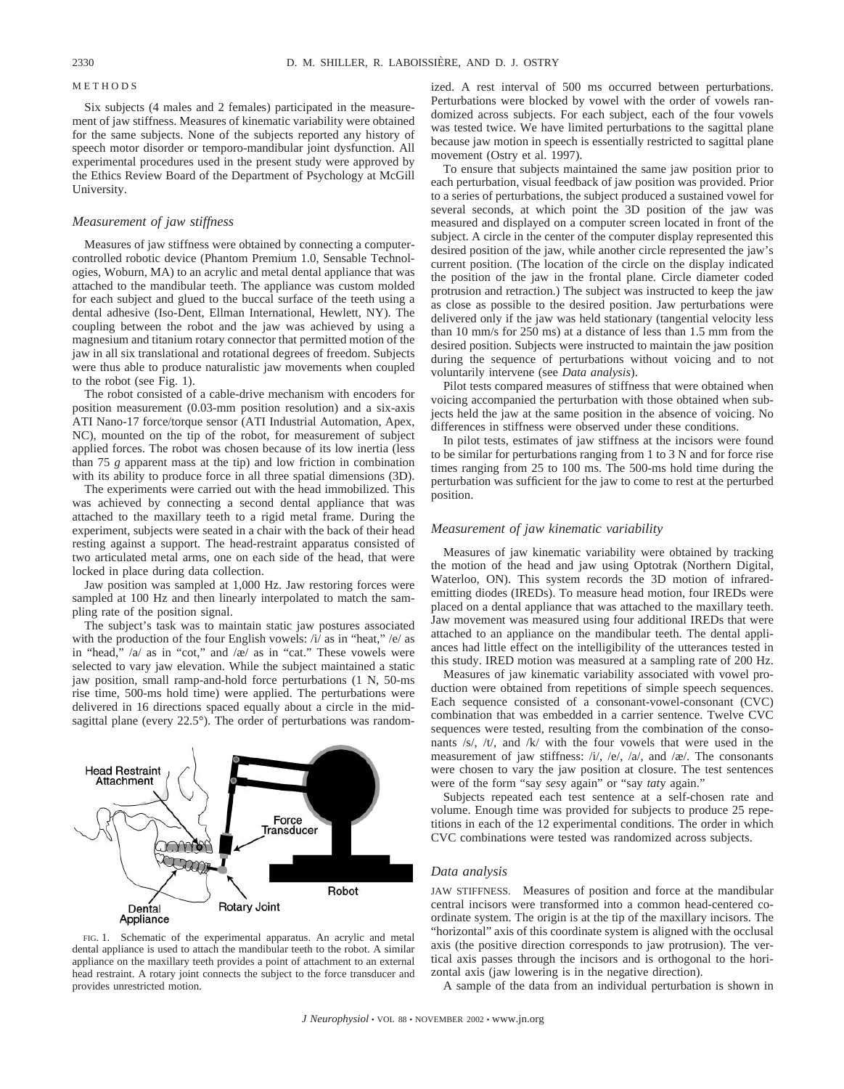## METHODS

Six subjects (4 males and 2 females) participated in the measurement of jaw stiffness. Measures of kinematic variability were obtained for the same subjects. None of the subjects reported any history of speech motor disorder or temporo-mandibular joint dysfunction. All experimental procedures used in the present study were approved by the Ethics Review Board of the Department of Psychology at McGill University.

#### *Measurement of jaw stiffness*

Measures of jaw stiffness were obtained by connecting a computercontrolled robotic device (Phantom Premium 1.0, Sensable Technologies, Woburn, MA) to an acrylic and metal dental appliance that was attached to the mandibular teeth. The appliance was custom molded for each subject and glued to the buccal surface of the teeth using a dental adhesive (Iso-Dent, Ellman International, Hewlett, NY). The coupling between the robot and the jaw was achieved by using a magnesium and titanium rotary connector that permitted motion of the jaw in all six translational and rotational degrees of freedom. Subjects were thus able to produce naturalistic jaw movements when coupled to the robot (see Fig. 1).

The robot consisted of a cable-drive mechanism with encoders for position measurement (0.03-mm position resolution) and a six-axis ATI Nano-17 force/torque sensor (ATI Industrial Automation, Apex, NC), mounted on the tip of the robot, for measurement of subject applied forces. The robot was chosen because of its low inertia (less than 75 *g* apparent mass at the tip) and low friction in combination with its ability to produce force in all three spatial dimensions (3D).

The experiments were carried out with the head immobilized. This was achieved by connecting a second dental appliance that was attached to the maxillary teeth to a rigid metal frame. During the experiment, subjects were seated in a chair with the back of their head resting against a support. The head-restraint apparatus consisted of two articulated metal arms, one on each side of the head, that were locked in place during data collection.

Jaw position was sampled at 1,000 Hz. Jaw restoring forces were sampled at 100 Hz and then linearly interpolated to match the sampling rate of the position signal.

The subject's task was to maintain static jaw postures associated with the production of the four English vowels: /i/ as in "heat," /e/ as in "head," /a/ as in "cot," and /æ/ as in "cat." These vowels were selected to vary jaw elevation. While the subject maintained a static jaw position, small ramp-and-hold force perturbations (1 N, 50-ms rise time, 500-ms hold time) were applied. The perturbations were delivered in 16 directions spaced equally about a circle in the midsagittal plane (every 22.5°). The order of perturbations was random-



FIG. 1. Schematic of the experimental apparatus. An acrylic and metal dental appliance is used to attach the mandibular teeth to the robot. A similar appliance on the maxillary teeth provides a point of attachment to an external head restraint. A rotary joint connects the subject to the force transducer and provides unrestricted motion.

ized. A rest interval of 500 ms occurred between perturbations. Perturbations were blocked by vowel with the order of vowels randomized across subjects. For each subject, each of the four vowels was tested twice. We have limited perturbations to the sagittal plane because jaw motion in speech is essentially restricted to sagittal plane movement (Ostry et al. 1997).

To ensure that subjects maintained the same jaw position prior to each perturbation, visual feedback of jaw position was provided. Prior to a series of perturbations, the subject produced a sustained vowel for several seconds, at which point the 3D position of the jaw was measured and displayed on a computer screen located in front of the subject. A circle in the center of the computer display represented this desired position of the jaw, while another circle represented the jaw's current position. (The location of the circle on the display indicated the position of the jaw in the frontal plane. Circle diameter coded protrusion and retraction.) The subject was instructed to keep the jaw as close as possible to the desired position. Jaw perturbations were delivered only if the jaw was held stationary (tangential velocity less than 10 mm/s for 250 ms) at a distance of less than 1.5 mm from the desired position. Subjects were instructed to maintain the jaw position during the sequence of perturbations without voicing and to not voluntarily intervene (see *Data analysis*).

Pilot tests compared measures of stiffness that were obtained when voicing accompanied the perturbation with those obtained when subjects held the jaw at the same position in the absence of voicing. No differences in stiffness were observed under these conditions.

In pilot tests, estimates of jaw stiffness at the incisors were found to be similar for perturbations ranging from 1 to 3 N and for force rise times ranging from 25 to 100 ms. The 500-ms hold time during the perturbation was sufficient for the jaw to come to rest at the perturbed position.

#### *Measurement of jaw kinematic variability*

Measures of jaw kinematic variability were obtained by tracking the motion of the head and jaw using Optotrak (Northern Digital, Waterloo, ON). This system records the 3D motion of infraredemitting diodes (IREDs). To measure head motion, four IREDs were placed on a dental appliance that was attached to the maxillary teeth. Jaw movement was measured using four additional IREDs that were attached to an appliance on the mandibular teeth. The dental appliances had little effect on the intelligibility of the utterances tested in this study. IRED motion was measured at a sampling rate of 200 Hz.

Measures of jaw kinematic variability associated with vowel production were obtained from repetitions of simple speech sequences. Each sequence consisted of a consonant-vowel-consonant (CVC) combination that was embedded in a carrier sentence. Twelve CVC sequences were tested, resulting from the combination of the consonants /s/, /t/, and /k/ with the four vowels that were used in the measurement of jaw stiffness: /i/, /e/, /a/, and /æ/. The consonants were chosen to vary the jaw position at closure. The test sentences were of the form "say *ses*y again" or "say *tat*y again."

Subjects repeated each test sentence at a self-chosen rate and volume. Enough time was provided for subjects to produce 25 repetitions in each of the 12 experimental conditions. The order in which CVC combinations were tested was randomized across subjects.

#### *Data analysis*

JAW STIFFNESS. Measures of position and force at the mandibular central incisors were transformed into a common head-centered coordinate system. The origin is at the tip of the maxillary incisors. The "horizontal" axis of this coordinate system is aligned with the occlusal axis (the positive direction corresponds to jaw protrusion). The vertical axis passes through the incisors and is orthogonal to the horizontal axis (jaw lowering is in the negative direction).

A sample of the data from an individual perturbation is shown in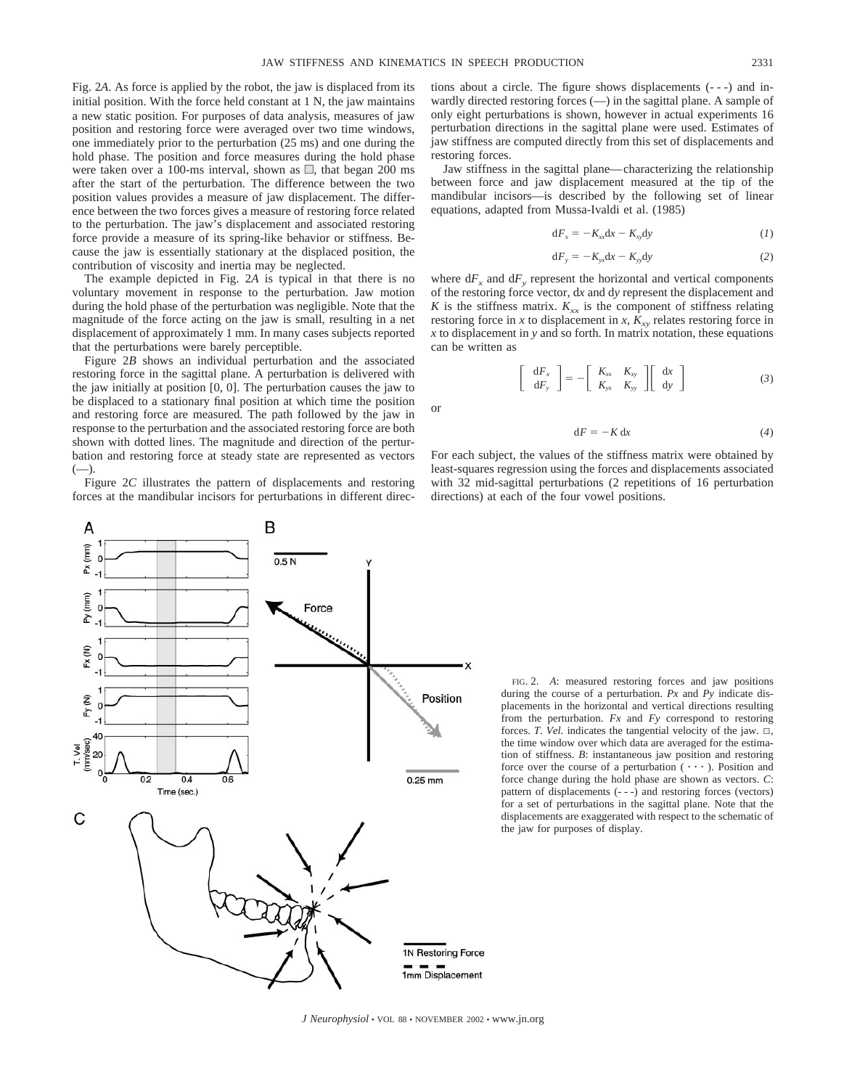Fig. 2*A*. As force is applied by the robot, the jaw is displaced from its initial position. With the force held constant at 1 N, the jaw maintains a new static position. For purposes of data analysis, measures of jaw position and restoring force were averaged over two time windows, one immediately prior to the perturbation (25 ms) and one during the hold phase. The position and force measures during the hold phase were taken over a 100-ms interval, shown as  $\equiv$ , that began 200 ms after the start of the perturbation. The difference between the two position values provides a measure of jaw displacement. The difference between the two forces gives a measure of restoring force related to the perturbation. The jaw's displacement and associated restoring force provide a measure of its spring-like behavior or stiffness. Because the jaw is essentially stationary at the displaced position, the contribution of viscosity and inertia may be neglected.

The example depicted in Fig. 2*A* is typical in that there is no voluntary movement in response to the perturbation. Jaw motion during the hold phase of the perturbation was negligible. Note that the magnitude of the force acting on the jaw is small, resulting in a net displacement of approximately 1 mm. In many cases subjects reported that the perturbations were barely perceptible.

Figure 2*B* shows an individual perturbation and the associated restoring force in the sagittal plane. A perturbation is delivered with the jaw initially at position [0, 0]. The perturbation causes the jaw to be displaced to a stationary final position at which time the position and restoring force are measured. The path followed by the jaw in response to the perturbation and the associated restoring force are both shown with dotted lines. The magnitude and direction of the perturbation and restoring force at steady state are represented as vectors  $(-)$ .

Figure 2*C* illustrates the pattern of displacements and restoring forces at the mandibular incisors for perturbations in different direc-



tions about a circle. The figure shows displacements (- - -) and inwardly directed restoring forces (—) in the sagittal plane. A sample of only eight perturbations is shown, however in actual experiments 16 perturbation directions in the sagittal plane were used. Estimates of jaw stiffness are computed directly from this set of displacements and restoring forces.

Jaw stiffness in the sagittal plane—characterizing the relationship between force and jaw displacement measured at the tip of the mandibular incisors—is described by the following set of linear equations, adapted from Mussa-Ivaldi et al. (1985)

$$
dF_x = -K_{xx}dx - K_{xy}dy \tag{1}
$$

$$
dF_y = -K_{yx}dx - K_{yy}dy
$$
 (2)

where  $dF_x$  and  $dF_y$  represent the horizontal and vertical components of the restoring force vector, d*x* and d*y* represent the displacement and *K* is the stiffness matrix.  $K_{xx}$  is the component of stiffness relating restoring force in *x* to displacement in *x*,  $K_{xx}$  relates restoring force in *x* to displacement in *y* and so forth. In matrix notation, these equations can be written as

$$
\left[\begin{array}{c} dF_x \\ dF_y \end{array}\right] = -\left[\begin{array}{cc} K_{xx} & K_{xy} \\ K_{yx} & K_{yy} \end{array}\right] \left[\begin{array}{c} dx \\ dy \end{array}\right]
$$
 (3)

or

$$
dF = -K dx \tag{4}
$$

For each subject, the values of the stiffness matrix were obtained by least-squares regression using the forces and displacements associated with 32 mid-sagittal perturbations (2 repetitions of 16 perturbation directions) at each of the four vowel positions.

FIG. 2. *A*: measured restoring forces and jaw positions during the course of a perturbation. *Px* and *Py* indicate displacements in the horizontal and vertical directions resulting from the perturbation. *Fx* and *Fy* correspond to restoring forces. *T. Vel.* indicates the tangential velocity of the jaw.  $\mathbb{B}$ , the time window over which data are averaged for the estimation of stiffness. *B*: instantaneous jaw position and restoring force over the course of a perturbation  $(\cdots)$ . Position and force change during the hold phase are shown as vectors. *C*: pattern of displacements (- - -) and restoring forces (vectors) for a set of perturbations in the sagittal plane. Note that the displacements are exaggerated with respect to the schematic of the jaw for purposes of display.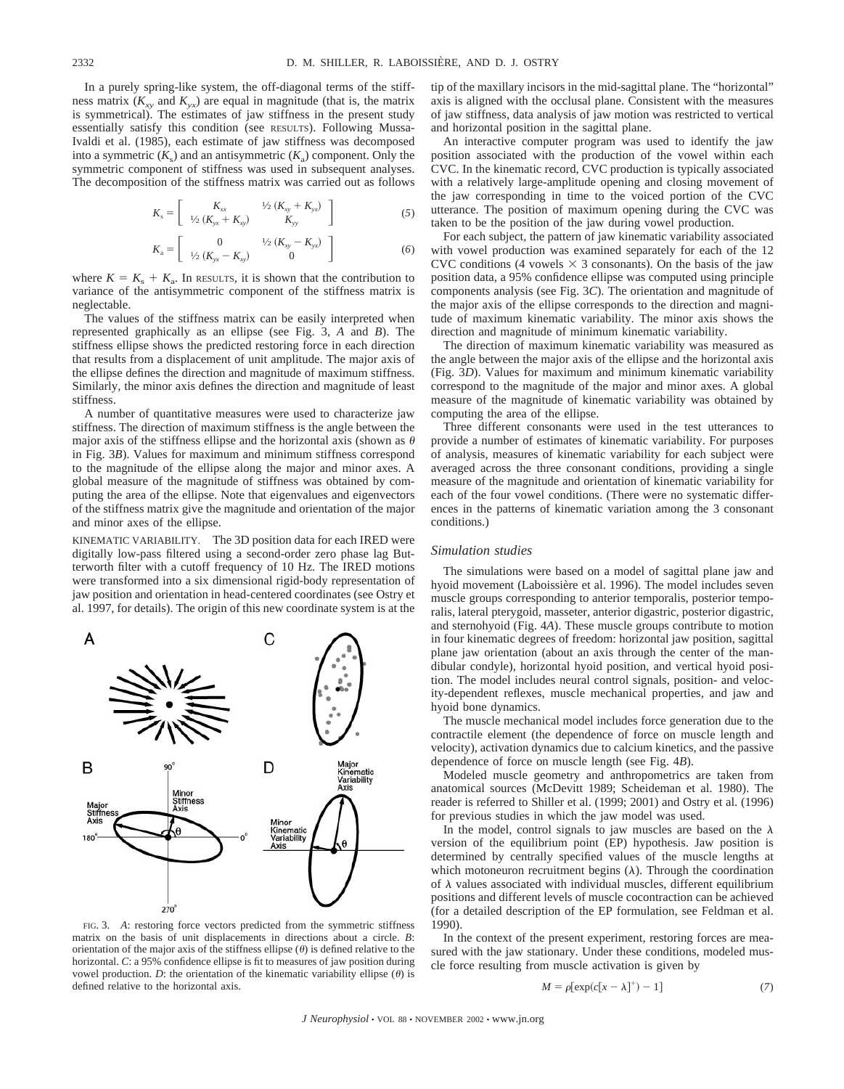In a purely spring-like system, the off-diagonal terms of the stiffness matrix  $(K_{xy}$  and  $K_{yx}$ ) are equal in magnitude (that is, the matrix is symmetrical). The estimates of jaw stiffness in the present study essentially satisfy this condition (see RESULTS). Following Mussa-Ivaldi et al. (1985), each estimate of jaw stiffness was decomposed into a symmetric  $(K_s)$  and an antisymmetric  $(K_a)$  component. Only the symmetric component of stiffness was used in subsequent analyses. The decomposition of the stiffness matrix was carried out as follows

$$
K_{s} = \left[ \begin{array}{cc} K_{xx} & \frac{1}{2} (K_{xy} + K_{yx}) \\ \frac{1}{2} (K_{yx} + K_{xy}) & K_{yy} \end{array} \right] \tag{5}
$$

$$
K_{\rm a} = \left[ \begin{array}{cc} 0 & \frac{1}{2} (K_{\rm xy} - K_{\rm y}) \\ \frac{1}{2} (K_{\rm y} - K_{\rm xy}) & 0 \end{array} \right] \tag{6}
$$

where  $K = K<sub>s</sub> + K<sub>a</sub>$ . In RESULTS, it is shown that the contribution to variance of the antisymmetric component of the stiffness matrix is neglectable.

The values of the stiffness matrix can be easily interpreted when represented graphically as an ellipse (see Fig. 3, *A* and *B*). The stiffness ellipse shows the predicted restoring force in each direction that results from a displacement of unit amplitude. The major axis of the ellipse defines the direction and magnitude of maximum stiffness. Similarly, the minor axis defines the direction and magnitude of least stiffness.

A number of quantitative measures were used to characterize jaw stiffness. The direction of maximum stiffness is the angle between the major axis of the stiffness ellipse and the horizontal axis (shown as  $\theta$ ) in Fig. 3*B*). Values for maximum and minimum stiffness correspond to the magnitude of the ellipse along the major and minor axes. A global measure of the magnitude of stiffness was obtained by computing the area of the ellipse. Note that eigenvalues and eigenvectors of the stiffness matrix give the magnitude and orientation of the major and minor axes of the ellipse.

KINEMATIC VARIABILITY. The 3D position data for each IRED were digitally low-pass filtered using a second-order zero phase lag Butterworth filter with a cutoff frequency of 10 Hz. The IRED motions were transformed into a six dimensional rigid-body representation of jaw position and orientation in head-centered coordinates (see Ostry et al. 1997, for details). The origin of this new coordinate system is at the



FIG. 3. *A*: restoring force vectors predicted from the symmetric stiffness matrix on the basis of unit displacements in directions about a circle. *B*: orientation of the major axis of the stiffness ellipse  $(\theta)$  is defined relative to the horizontal. *C*: a 95% confidence ellipse is fit to measures of jaw position during vowel production. *D*: the orientation of the kinematic variability ellipse  $(\theta)$  is defined relative to the horizontal axis.

tip of the maxillary incisors in the mid-sagittal plane. The "horizontal" axis is aligned with the occlusal plane. Consistent with the measures of jaw stiffness, data analysis of jaw motion was restricted to vertical and horizontal position in the sagittal plane.

An interactive computer program was used to identify the jaw position associated with the production of the vowel within each CVC. In the kinematic record, CVC production is typically associated with a relatively large-amplitude opening and closing movement of the jaw corresponding in time to the voiced portion of the CVC utterance. The position of maximum opening during the CVC was taken to be the position of the jaw during vowel production.

For each subject, the pattern of jaw kinematic variability associated with vowel production was examined separately for each of the 12 CVC conditions (4 vowels  $\times$  3 consonants). On the basis of the jaw position data, a 95% confidence ellipse was computed using principle components analysis (see Fig. 3*C*). The orientation and magnitude of the major axis of the ellipse corresponds to the direction and magnitude of maximum kinematic variability. The minor axis shows the direction and magnitude of minimum kinematic variability.

The direction of maximum kinematic variability was measured as the angle between the major axis of the ellipse and the horizontal axis (Fig. 3*D*). Values for maximum and minimum kinematic variability correspond to the magnitude of the major and minor axes. A global measure of the magnitude of kinematic variability was obtained by computing the area of the ellipse.

Three different consonants were used in the test utterances to provide a number of estimates of kinematic variability. For purposes of analysis, measures of kinematic variability for each subject were averaged across the three consonant conditions, providing a single measure of the magnitude and orientation of kinematic variability for each of the four vowel conditions. (There were no systematic differences in the patterns of kinematic variation among the 3 consonant conditions.)

#### *Simulation studies*

The simulations were based on a model of sagittal plane jaw and hyoid movement (Laboissière et al. 1996). The model includes seven muscle groups corresponding to anterior temporalis, posterior temporalis, lateral pterygoid, masseter, anterior digastric, posterior digastric, and sternohyoid (Fig. 4*A*). These muscle groups contribute to motion in four kinematic degrees of freedom: horizontal jaw position, sagittal plane jaw orientation (about an axis through the center of the mandibular condyle), horizontal hyoid position, and vertical hyoid position. The model includes neural control signals, position- and velocity-dependent reflexes, muscle mechanical properties, and jaw and hyoid bone dynamics.

The muscle mechanical model includes force generation due to the contractile element (the dependence of force on muscle length and velocity), activation dynamics due to calcium kinetics, and the passive dependence of force on muscle length (see Fig. 4*B*).

Modeled muscle geometry and anthropometrics are taken from anatomical sources (McDevitt 1989; Scheideman et al. 1980). The reader is referred to Shiller et al. (1999; 2001) and Ostry et al. (1996) for previous studies in which the jaw model was used.

In the model, control signals to jaw muscles are based on the  $\lambda$ version of the equilibrium point (EP) hypothesis. Jaw position is determined by centrally specified values of the muscle lengths at which motoneuron recruitment begins  $(\lambda)$ . Through the coordination of  $\lambda$  values associated with individual muscles, different equilibrium positions and different levels of muscle cocontraction can be achieved (for a detailed description of the EP formulation, see Feldman et al. 1990).

In the context of the present experiment, restoring forces are measured with the jaw stationary. Under these conditions, modeled muscle force resulting from muscle activation is given by

$$
M = \rho \left[ \exp(c[x - \lambda]^+) - 1 \right] \tag{7}
$$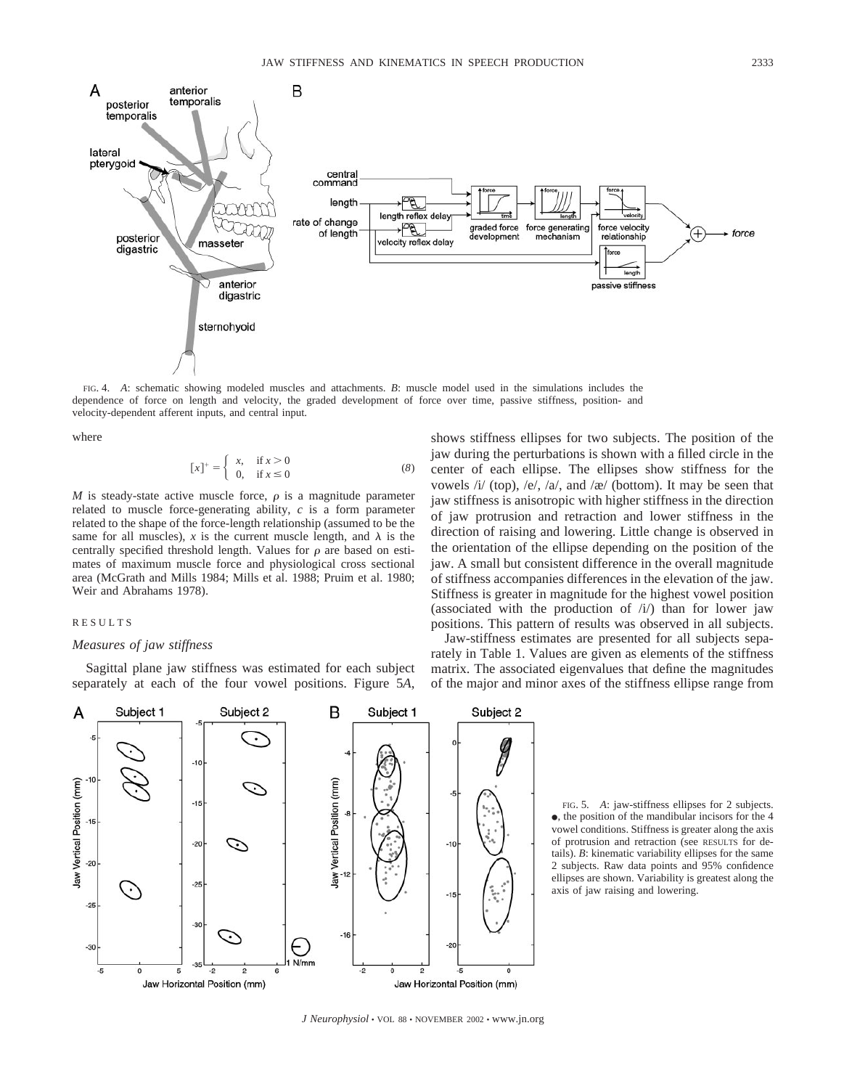

FIG. 4. *A*: schematic showing modeled muscles and attachments. *B*: muscle model used in the simulations includes the dependence of force on length and velocity, the graded development of force over time, passive stiffness, position- and velocity-dependent afferent inputs, and central input.

where

$$
[x]^{+} = \begin{cases} x, & \text{if } x > 0 \\ 0, & \text{if } x \le 0 \end{cases} \tag{8}
$$

*M* is steady-state active muscle force,  $\rho$  is a magnitude parameter related to muscle force-generating ability, *c* is a form parameter related to the shape of the force-length relationship (assumed to be the same for all muscles),  $x$  is the current muscle length, and  $\lambda$  is the centrally specified threshold length. Values for  $\rho$  are based on estimates of maximum muscle force and physiological cross sectional area (McGrath and Mills 1984; Mills et al. 1988; Pruim et al. 1980; Weir and Abrahams 1978).

#### RESULTS

## *Measures of jaw stiffness*

Sagittal plane jaw stiffness was estimated for each subject separately at each of the four vowel positions. Figure 5*A*, shows stiffness ellipses for two subjects. The position of the jaw during the perturbations is shown with a filled circle in the center of each ellipse. The ellipses show stiffness for the vowels /i/ (top), /e/, /a/, and /æ/ (bottom). It may be seen that jaw stiffness is anisotropic with higher stiffness in the direction of jaw protrusion and retraction and lower stiffness in the direction of raising and lowering. Little change is observed in the orientation of the ellipse depending on the position of the jaw. A small but consistent difference in the overall magnitude of stiffness accompanies differences in the elevation of the jaw. Stiffness is greater in magnitude for the highest vowel position (associated with the production of  $\pi/\sqrt{1}$ ) than for lower jaw positions. This pattern of results was observed in all subjects.

Jaw-stiffness estimates are presented for all subjects separately in Table 1. Values are given as elements of the stiffness matrix. The associated eigenvalues that define the magnitudes of the major and minor axes of the stiffness ellipse range from



FIG. 5. *A*: jaw-stiffness ellipses for 2 subjects. ●, the position of the mandibular incisors for the 4 vowel conditions. Stiffness is greater along the axis of protrusion and retraction (see RESULTS for details). *B*: kinematic variability ellipses for the same 2 subjects. Raw data points and 95% confidence ellipses are shown. Variability is greatest along the axis of jaw raising and lowering.

*J Neurophysiol* • VOL 88 • NOVEMBER 2002 • www.jn.org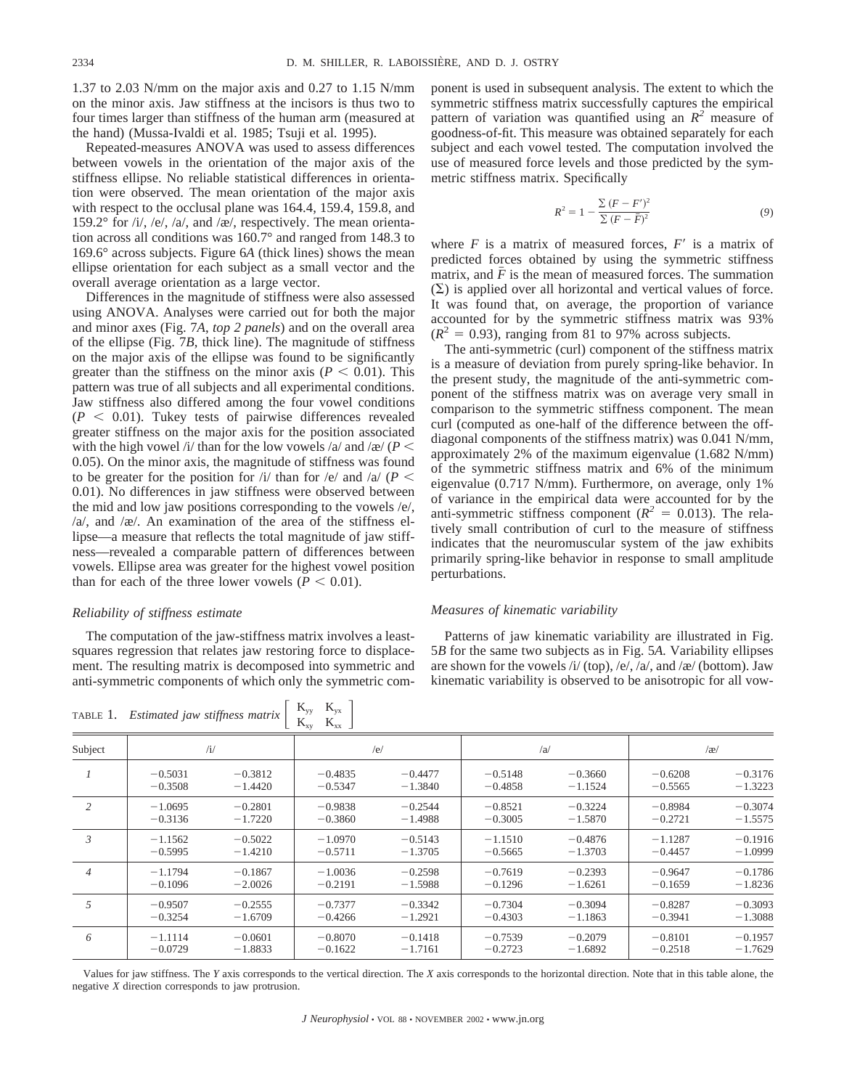1.37 to 2.03 N/mm on the major axis and 0.27 to 1.15 N/mm on the minor axis. Jaw stiffness at the incisors is thus two to four times larger than stiffness of the human arm (measured at the hand) (Mussa-Ivaldi et al. 1985; Tsuji et al. 1995).

Repeated-measures ANOVA was used to assess differences between vowels in the orientation of the major axis of the stiffness ellipse. No reliable statistical differences in orientation were observed. The mean orientation of the major axis with respect to the occlusal plane was 164.4, 159.4, 159.8, and 159.2° for /i/, /e/, /a/, and /æ/, respectively. The mean orientation across all conditions was 160.7° and ranged from 148.3 to 169.6° across subjects. Figure 6*A* (thick lines) shows the mean ellipse orientation for each subject as a small vector and the overall average orientation as a large vector.

Differences in the magnitude of stiffness were also assessed using ANOVA. Analyses were carried out for both the major and minor axes (Fig. 7*A*, *top 2 panels*) and on the overall area of the ellipse (Fig. 7*B*, thick line). The magnitude of stiffness on the major axis of the ellipse was found to be significantly greater than the stiffness on the minor axis ( $P \le 0.01$ ). This pattern was true of all subjects and all experimental conditions. Jaw stiffness also differed among the four vowel conditions  $(P < 0.01)$ . Tukey tests of pairwise differences revealed greater stiffness on the major axis for the position associated with the high vowel /i/ than for the low vowels /a/ and /æ/ ( $P <$ 0.05). On the minor axis, the magnitude of stiffness was found to be greater for the position for  $\frac{1}{l}$  than for  $\frac{1}{e}$  and  $\frac{1}{a}$  ( $P \le$ 0.01). No differences in jaw stiffness were observed between the mid and low jaw positions corresponding to the vowels /e/,  $\alpha$ , and  $\alpha$ . An examination of the area of the stiffness ellipse—a measure that reflects the total magnitude of jaw stiffness—revealed a comparable pattern of differences between vowels. Ellipse area was greater for the highest vowel position than for each of the three lower vowels  $(P < 0.01)$ .

## *Reliability of stiffness estimate*

The computation of the jaw-stiffness matrix involves a leastsquares regression that relates jaw restoring force to displacement. The resulting matrix is decomposed into symmetric and anti-symmetric components of which only the symmetric com-

TABLE 1. *Estimated jaw stiffness matrix*  $\begin{bmatrix} K_{yy} & K_{yx} \\ K_{xy} & K_{xx} \end{bmatrix}$ 

ponent is used in subsequent analysis. The extent to which the symmetric stiffness matrix successfully captures the empirical pattern of variation was quantified using an  $R^2$  measure of goodness-of-fit. This measure was obtained separately for each subject and each vowel tested. The computation involved the use of measured force levels and those predicted by the symmetric stiffness matrix. Specifically

$$
R^{2} = 1 - \frac{\sum (F - F')^{2}}{\sum (F - \bar{F})^{2}}
$$
 (9)

where  $F$  is a matrix of measured forces,  $F'$  is a matrix of predicted forces obtained by using the symmetric stiffness matrix, and *F* is the mean of measured forces. The summation  $(\Sigma)$  is applied over all horizontal and vertical values of force. It was found that, on average, the proportion of variance accounted for by the symmetric stiffness matrix was 93%  $(R^2 = 0.93)$ , ranging from 81 to 97% across subjects.

The anti-symmetric (curl) component of the stiffness matrix is a measure of deviation from purely spring-like behavior. In the present study, the magnitude of the anti-symmetric component of the stiffness matrix was on average very small in comparison to the symmetric stiffness component. The mean curl (computed as one-half of the difference between the offdiagonal components of the stiffness matrix) was 0.041 N/mm, approximately 2% of the maximum eigenvalue (1.682 N/mm) of the symmetric stiffness matrix and 6% of the minimum eigenvalue (0.717 N/mm). Furthermore, on average, only 1% of variance in the empirical data were accounted for by the anti-symmetric stiffness component ( $R^2 = 0.013$ ). The relatively small contribution of curl to the measure of stiffness indicates that the neuromuscular system of the jaw exhibits primarily spring-like behavior in response to small amplitude perturbations.

#### *Measures of kinematic variability*

Patterns of jaw kinematic variability are illustrated in Fig. 5*B* for the same two subjects as in Fig. 5*A.* Variability ellipses are shown for the vowels /i/ (top), /e/, /a/, and /æ/ (bottom). Jaw kinematic variability is observed to be anisotropic for all vow-

| Subject        | $\sqrt{1}$             |                        | /e/                    |                        | /a                     |                        | $\alpha$               |                        |
|----------------|------------------------|------------------------|------------------------|------------------------|------------------------|------------------------|------------------------|------------------------|
|                | $-0.5031$<br>$-0.3508$ | $-0.3812$<br>$-1.4420$ | $-0.4835$<br>$-0.5347$ | $-0.4477$<br>$-1.3840$ | $-0.5148$<br>$-0.4858$ | $-0.3660$<br>$-1.1524$ | $-0.6208$<br>$-0.5565$ | $-0.3176$<br>$-1.3223$ |
| $\mathfrak{D}$ | $-1.0695$              | $-0.2801$              | $-0.9838$              | $-0.2544$              | $-0.8521$              | $-0.3224$              | $-0.8984$              | $-0.3074$              |
|                | $-0.3136$              | $-1.7220$              | $-0.3860$              | $-1.4988$              | $-0.3005$              | $-1.5870$              | $-0.2721$              | $-1.5575$              |
| $\mathcal{F}$  | $-1.1562$              | $-0.5022$              | $-1.0970$              | $-0.5143$              | $-1.1510$              | $-0.4876$              | $-1.1287$              | $-0.1916$              |
|                | $-0.5995$              | $-1.4210$              | $-0.5711$              | $-1.3705$              | $-0.5665$              | $-1.3703$              | $-0.4457$              | $-1.0999$              |
| $\overline{4}$ | $-1.1794$              | $-0.1867$              | $-1.0036$              | $-0.2598$              | $-0.7619$              | $-0.2393$              | $-0.9647$              | $-0.1786$              |
|                | $-0.1096$              | $-2.0026$              | $-0.2191$              | $-1.5988$              | $-0.1296$              | $-1.6261$              | $-0.1659$              | $-1.8236$              |
|                | $-0.9507$              | $-0.2555$              | $-0.7377$              | $-0.3342$              | $-0.7304$              | $-0.3094$              | $-0.8287$              | $-0.3093$              |
|                | $-0.3254$              | $-1.6709$              | $-0.4266$              | $-1.2921$              | $-0.4303$              | $-1.1863$              | $-0.3941$              | $-1.3088$              |
| 6              | $-1.1114$              | $-0.0601$              | $-0.8070$              | $-0.1418$              | $-0.7539$              | $-0.2079$              | $-0.8101$              | $-0.1957$              |
|                | $-0.0729$              | $-1.8833$              | $-0.1622$              | $-1.7161$              | $-0.2723$              | $-1.6892$              | $-0.2518$              | $-1.7629$              |

Values for jaw stiffness. The *Y* axis corresponds to the vertical direction. The *X* axis corresponds to the horizontal direction. Note that in this table alone, the negative *X* direction corresponds to jaw protrusion.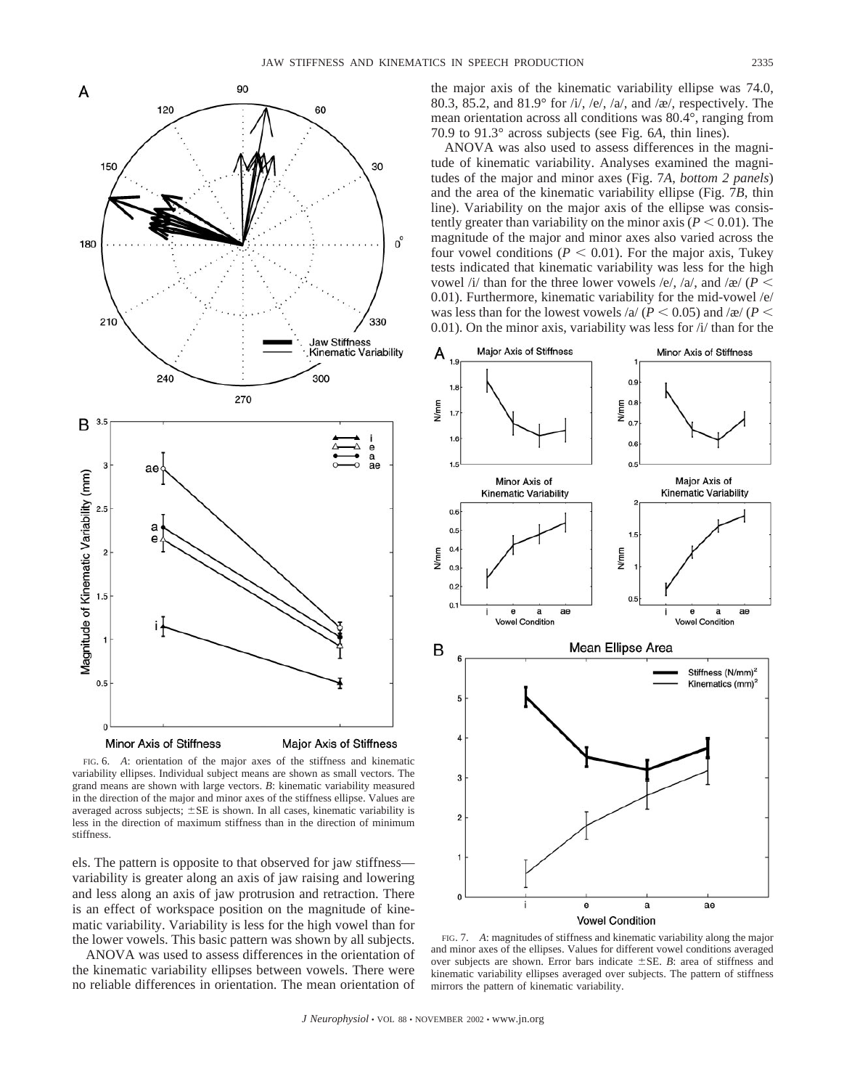

FIG. 6. *A*: orientation of the major axes of the stiffness and kinematic variability ellipses. Individual subject means are shown as small vectors. The grand means are shown with large vectors. *B*: kinematic variability measured in the direction of the major and minor axes of the stiffness ellipse. Values are averaged across subjects;  $\pm$  SE is shown. In all cases, kinematic variability is less in the direction of maximum stiffness than in the direction of minimum stiffness.

els. The pattern is opposite to that observed for jaw stiffness variability is greater along an axis of jaw raising and lowering and less along an axis of jaw protrusion and retraction. There is an effect of workspace position on the magnitude of kinematic variability. Variability is less for the high vowel than for the lower vowels. This basic pattern was shown by all subjects.

ANOVA was used to assess differences in the orientation of the kinematic variability ellipses between vowels. There were no reliable differences in orientation. The mean orientation of the major axis of the kinematic variability ellipse was 74.0, 80.3, 85.2, and 81.9° for /i/, /e/, /a/, and /æ/, respectively. The mean orientation across all conditions was 80.4°, ranging from 70.9 to 91.3° across subjects (see Fig. 6*A*, thin lines).

ANOVA was also used to assess differences in the magnitude of kinematic variability. Analyses examined the magnitudes of the major and minor axes (Fig. 7*A*, *bottom 2 panels*) and the area of the kinematic variability ellipse (Fig. 7*B*, thin line). Variability on the major axis of the ellipse was consistently greater than variability on the minor axis ( $P \le 0.01$ ). The magnitude of the major and minor axes also varied across the four vowel conditions ( $P \leq 0.01$ ). For the major axis, Tukey tests indicated that kinematic variability was less for the high vowel /i/ than for the three lower vowels /e/, /a/, and /æ/ ( $P$  < 0.01). Furthermore, kinematic variability for the mid-vowel /e/ was less than for the lowest vowels /a/  $(P \le 0.05)$  and /æ/  $(P \le$ 0.01). On the minor axis, variability was less for /i/ than for the



FIG. 7. *A*: magnitudes of stiffness and kinematic variability along the major and minor axes of the ellipses. Values for different vowel conditions averaged over subjects are shown. Error bars indicate  $\pm$  SE. *B*: area of stiffness and kinematic variability ellipses averaged over subjects. The pattern of stiffness mirrors the pattern of kinematic variability.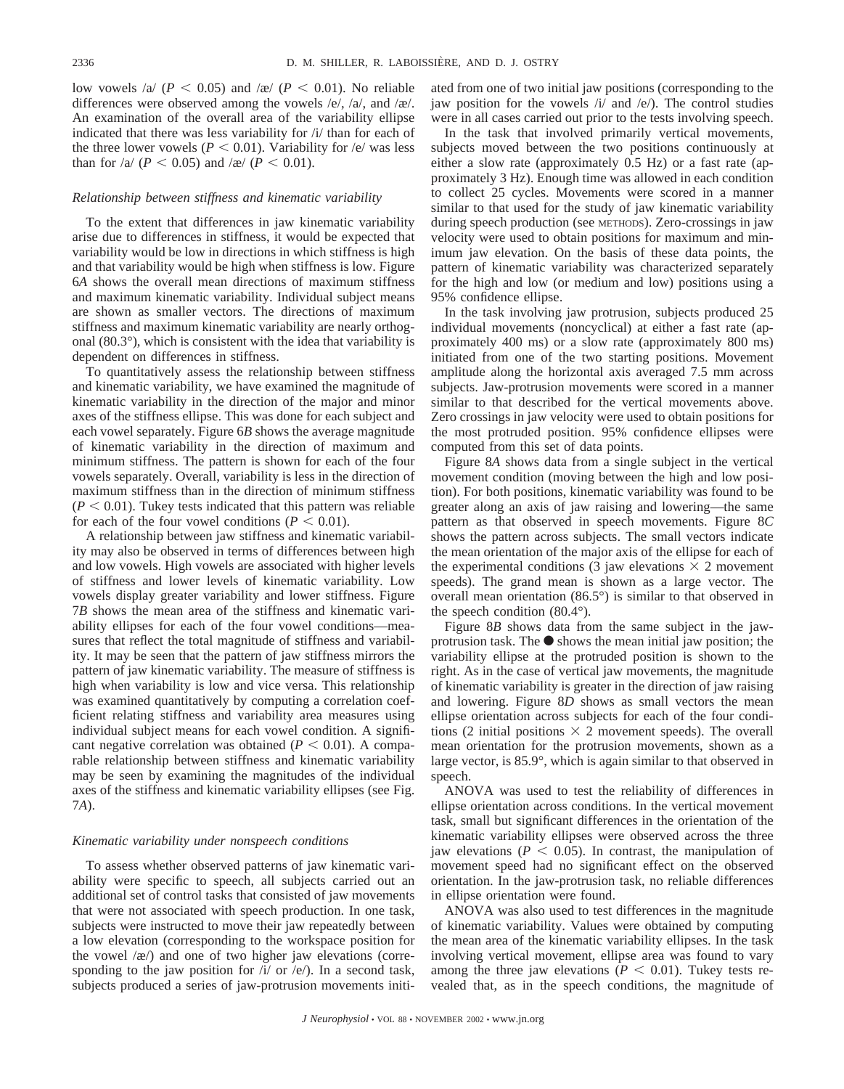low vowels /a/  $(P < 0.05)$  and /æ/  $(P < 0.01)$ . No reliable differences were observed among the vowels /e/, /a/, and /æ/. An examination of the overall area of the variability ellipse indicated that there was less variability for /i/ than for each of the three lower vowels ( $P \leq 0.01$ ). Variability for /e/ was less than for /a/ ( $P < 0.05$ ) and /æ/ ( $P < 0.01$ ).

## *Relationship between stiffness and kinematic variability*

To the extent that differences in jaw kinematic variability arise due to differences in stiffness, it would be expected that variability would be low in directions in which stiffness is high and that variability would be high when stiffness is low. Figure 6*A* shows the overall mean directions of maximum stiffness and maximum kinematic variability. Individual subject means are shown as smaller vectors. The directions of maximum stiffness and maximum kinematic variability are nearly orthogonal (80.3°), which is consistent with the idea that variability is dependent on differences in stiffness.

To quantitatively assess the relationship between stiffness and kinematic variability, we have examined the magnitude of kinematic variability in the direction of the major and minor axes of the stiffness ellipse. This was done for each subject and each vowel separately. Figure 6*B* shows the average magnitude of kinematic variability in the direction of maximum and minimum stiffness. The pattern is shown for each of the four vowels separately. Overall, variability is less in the direction of maximum stiffness than in the direction of minimum stiffness  $(P < 0.01)$ . Tukey tests indicated that this pattern was reliable for each of the four vowel conditions ( $P \leq 0.01$ ).

A relationship between jaw stiffness and kinematic variability may also be observed in terms of differences between high and low vowels. High vowels are associated with higher levels of stiffness and lower levels of kinematic variability. Low vowels display greater variability and lower stiffness. Figure 7*B* shows the mean area of the stiffness and kinematic variability ellipses for each of the four vowel conditions—measures that reflect the total magnitude of stiffness and variability. It may be seen that the pattern of jaw stiffness mirrors the pattern of jaw kinematic variability. The measure of stiffness is high when variability is low and vice versa. This relationship was examined quantitatively by computing a correlation coefficient relating stiffness and variability area measures using individual subject means for each vowel condition. A significant negative correlation was obtained ( $P \leq 0.01$ ). A comparable relationship between stiffness and kinematic variability may be seen by examining the magnitudes of the individual axes of the stiffness and kinematic variability ellipses (see Fig. 7*A*).

## *Kinematic variability under nonspeech conditions*

To assess whether observed patterns of jaw kinematic variability were specific to speech, all subjects carried out an additional set of control tasks that consisted of jaw movements that were not associated with speech production. In one task, subjects were instructed to move their jaw repeatedly between a low elevation (corresponding to the workspace position for the vowel  $\langle x \rangle$  and one of two higher jaw elevations (corresponding to the jaw position for  $\pi/2$  or  $\pi/2$ . In a second task, subjects produced a series of jaw-protrusion movements initiated from one of two initial jaw positions (corresponding to the jaw position for the vowels /i/ and /e/). The control studies were in all cases carried out prior to the tests involving speech.

In the task that involved primarily vertical movements, subjects moved between the two positions continuously at either a slow rate (approximately 0.5 Hz) or a fast rate (approximately 3 Hz). Enough time was allowed in each condition to collect 25 cycles. Movements were scored in a manner similar to that used for the study of jaw kinematic variability during speech production (see METHODS). Zero-crossings in jaw velocity were used to obtain positions for maximum and minimum jaw elevation. On the basis of these data points, the pattern of kinematic variability was characterized separately for the high and low (or medium and low) positions using a 95% confidence ellipse.

In the task involving jaw protrusion, subjects produced 25 individual movements (noncyclical) at either a fast rate (approximately 400 ms) or a slow rate (approximately 800 ms) initiated from one of the two starting positions. Movement amplitude along the horizontal axis averaged 7.5 mm across subjects. Jaw-protrusion movements were scored in a manner similar to that described for the vertical movements above. Zero crossings in jaw velocity were used to obtain positions for the most protruded position. 95% confidence ellipses were computed from this set of data points.

Figure 8*A* shows data from a single subject in the vertical movement condition (moving between the high and low position). For both positions, kinematic variability was found to be greater along an axis of jaw raising and lowering—the same pattern as that observed in speech movements. Figure 8*C* shows the pattern across subjects. The small vectors indicate the mean orientation of the major axis of the ellipse for each of the experimental conditions (3 jaw elevations  $\times$  2 movement speeds). The grand mean is shown as a large vector. The overall mean orientation (86.5°) is similar to that observed in the speech condition (80.4°).

Figure 8*B* shows data from the same subject in the jawprotrusion task. The  $\bullet$  shows the mean initial jaw position; the variability ellipse at the protruded position is shown to the right. As in the case of vertical jaw movements, the magnitude of kinematic variability is greater in the direction of jaw raising and lowering. Figure 8*D* shows as small vectors the mean ellipse orientation across subjects for each of the four conditions (2 initial positions  $\times$  2 movement speeds). The overall mean orientation for the protrusion movements, shown as a large vector, is 85.9°, which is again similar to that observed in speech.

ANOVA was used to test the reliability of differences in ellipse orientation across conditions. In the vertical movement task, small but significant differences in the orientation of the kinematic variability ellipses were observed across the three jaw elevations ( $P \leq 0.05$ ). In contrast, the manipulation of movement speed had no significant effect on the observed orientation. In the jaw-protrusion task, no reliable differences in ellipse orientation were found.

ANOVA was also used to test differences in the magnitude of kinematic variability. Values were obtained by computing the mean area of the kinematic variability ellipses. In the task involving vertical movement, ellipse area was found to vary among the three jaw elevations ( $P \leq 0.01$ ). Tukey tests revealed that, as in the speech conditions, the magnitude of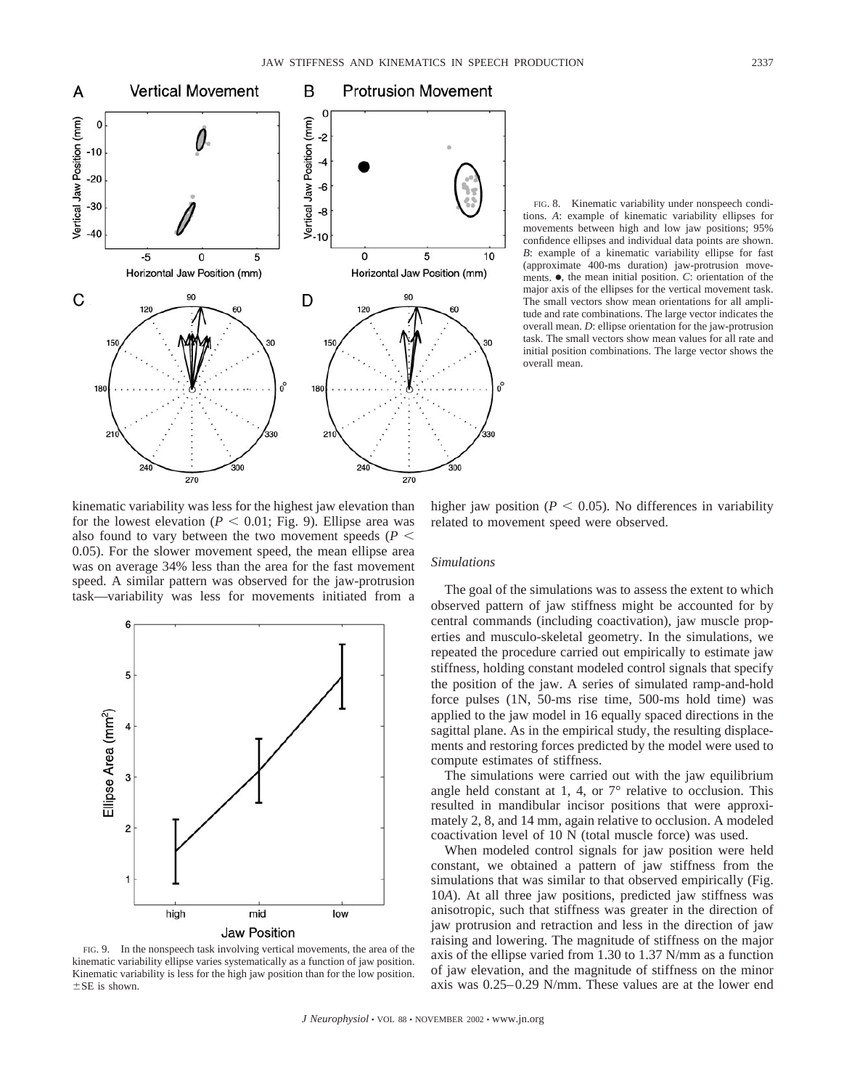

movements between high and low jaw positions; 95% confidence ellipses and individual data points are shown. *B*: example of a kinematic variability ellipse for fast (approximate 400-ms duration) jaw-protrusion movements. ●, the mean initial position. *C*: orientation of the major axis of the ellipses for the vertical movement task. The small vectors show mean orientations for all amplitude and rate combinations. The large vector indicates the overall mean. *D*: ellipse orientation for the jaw-protrusion task. The small vectors show mean values for all rate and initial position combinations. The large vector shows the overall mean.

FIG. 8. Kinematic variability under nonspeech conditions. *A*: example of kinematic variability ellipses for

kinematic variability was less for the highest jaw elevation than for the lowest elevation ( $P < 0.01$ ; Fig. 9). Ellipse area was also found to vary between the two movement speeds ( $P$  < 0.05). For the slower movement speed, the mean ellipse area was on average 34% less than the area for the fast movement speed. A similar pattern was observed for the jaw-protrusion task—variability was less for movements initiated from a



FIG. 9. In the nonspeech task involving vertical movements, the area of the kinematic variability ellipse varies systematically as a function of jaw position. Kinematic variability is less for the high jaw position than for the low position.  $\pm$ SE is shown.

higher jaw position ( $P < 0.05$ ). No differences in variability related to movement speed were observed.

## *Simulations*

The goal of the simulations was to assess the extent to which observed pattern of jaw stiffness might be accounted for by central commands (including coactivation), jaw muscle properties and musculo-skeletal geometry. In the simulations, we repeated the procedure carried out empirically to estimate jaw stiffness, holding constant modeled control signals that specify the position of the jaw. A series of simulated ramp-and-hold force pulses (1N, 50-ms rise time, 500-ms hold time) was applied to the jaw model in 16 equally spaced directions in the sagittal plane. As in the empirical study, the resulting displacements and restoring forces predicted by the model were used to compute estimates of stiffness.

The simulations were carried out with the jaw equilibrium angle held constant at 1, 4, or  $7^\circ$  relative to occlusion. This resulted in mandibular incisor positions that were approximately 2, 8, and 14 mm, again relative to occlusion. A modeled coactivation level of 10 N (total muscle force) was used.

When modeled control signals for jaw position were held constant, we obtained a pattern of jaw stiffness from the simulations that was similar to that observed empirically (Fig. 10*A*). At all three jaw positions, predicted jaw stiffness was anisotropic, such that stiffness was greater in the direction of jaw protrusion and retraction and less in the direction of jaw raising and lowering. The magnitude of stiffness on the major axis of the ellipse varied from 1.30 to 1.37 N/mm as a function of jaw elevation, and the magnitude of stiffness on the minor axis was 0.25–0.29 N/mm. These values are at the lower end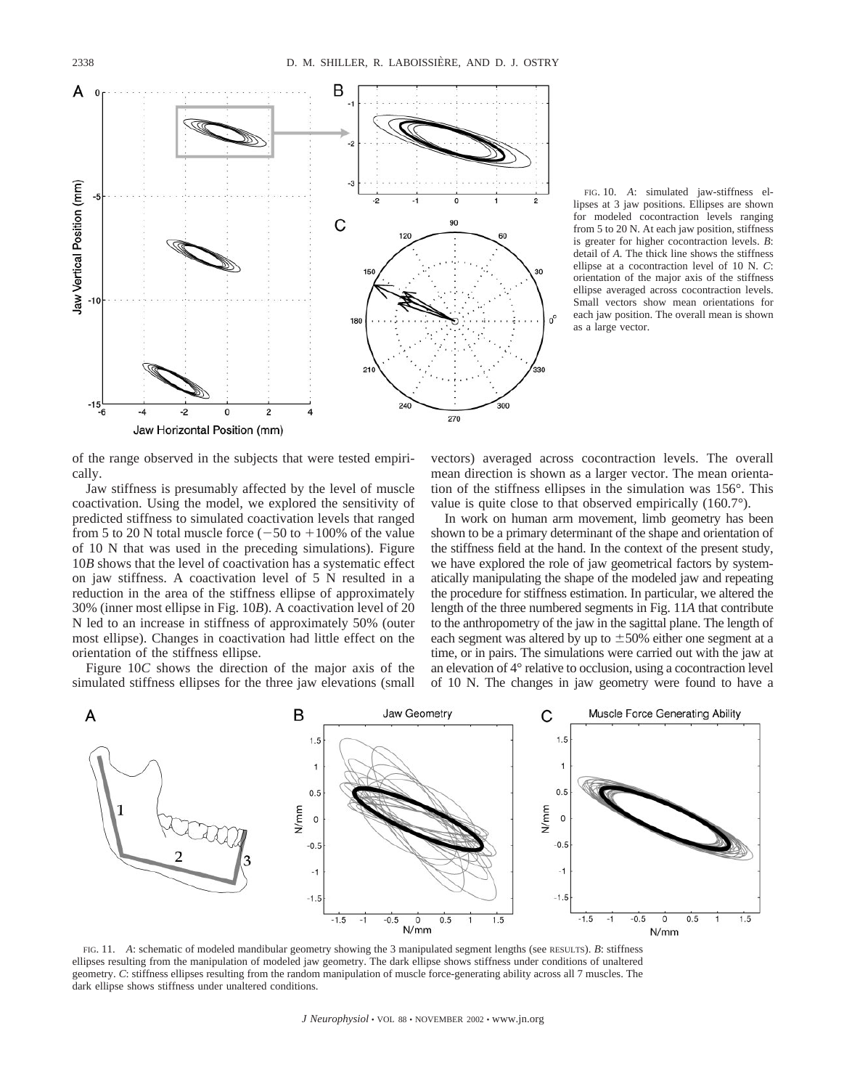

FIG. 10. *A*: simulated jaw-stiffness ellipses at 3 jaw positions. Ellipses are shown for modeled cocontraction levels ranging from 5 to 20 N. At each jaw position, stiffness is greater for higher cocontraction levels. *B*: detail of *A.* The thick line shows the stiffness ellipse at a cocontraction level of 10 N. *C*: orientation of the major axis of the stiffness ellipse averaged across cocontraction levels. Small vectors show mean orientations for each jaw position. The overall mean is shown as a large vector.

of the range observed in the subjects that were tested empirically.

Jaw stiffness is presumably affected by the level of muscle coactivation. Using the model, we explored the sensitivity of predicted stiffness to simulated coactivation levels that ranged from 5 to 20 N total muscle force  $(-50$  to  $+100\%$  of the value of 10 N that was used in the preceding simulations). Figure 10*B* shows that the level of coactivation has a systematic effect on jaw stiffness. A coactivation level of 5 N resulted in a reduction in the area of the stiffness ellipse of approximately 30% (inner most ellipse in Fig. 10*B*). A coactivation level of 20 N led to an increase in stiffness of approximately 50% (outer most ellipse). Changes in coactivation had little effect on the orientation of the stiffness ellipse.

Figure 10*C* shows the direction of the major axis of the simulated stiffness ellipses for the three jaw elevations (small vectors) averaged across cocontraction levels. The overall mean direction is shown as a larger vector. The mean orientation of the stiffness ellipses in the simulation was 156°. This value is quite close to that observed empirically (160.7°).

In work on human arm movement, limb geometry has been shown to be a primary determinant of the shape and orientation of the stiffness field at the hand. In the context of the present study, we have explored the role of jaw geometrical factors by systematically manipulating the shape of the modeled jaw and repeating the procedure for stiffness estimation. In particular, we altered the length of the three numbered segments in Fig. 11*A* that contribute to the anthropometry of the jaw in the sagittal plane. The length of each segment was altered by up to  $\pm 50\%$  either one segment at a time, or in pairs. The simulations were carried out with the jaw at an elevation of 4° relative to occlusion, using a cocontraction level of 10 N. The changes in jaw geometry were found to have a



FIG. 11. *A*: schematic of modeled mandibular geometry showing the 3 manipulated segment lengths (see RESULTS). *B*: stiffness ellipses resulting from the manipulation of modeled jaw geometry. The dark ellipse shows stiffness under conditions of unaltered geometry. *C*: stiffness ellipses resulting from the random manipulation of muscle force-generating ability across all 7 muscles. The dark ellipse shows stiffness under unaltered conditions.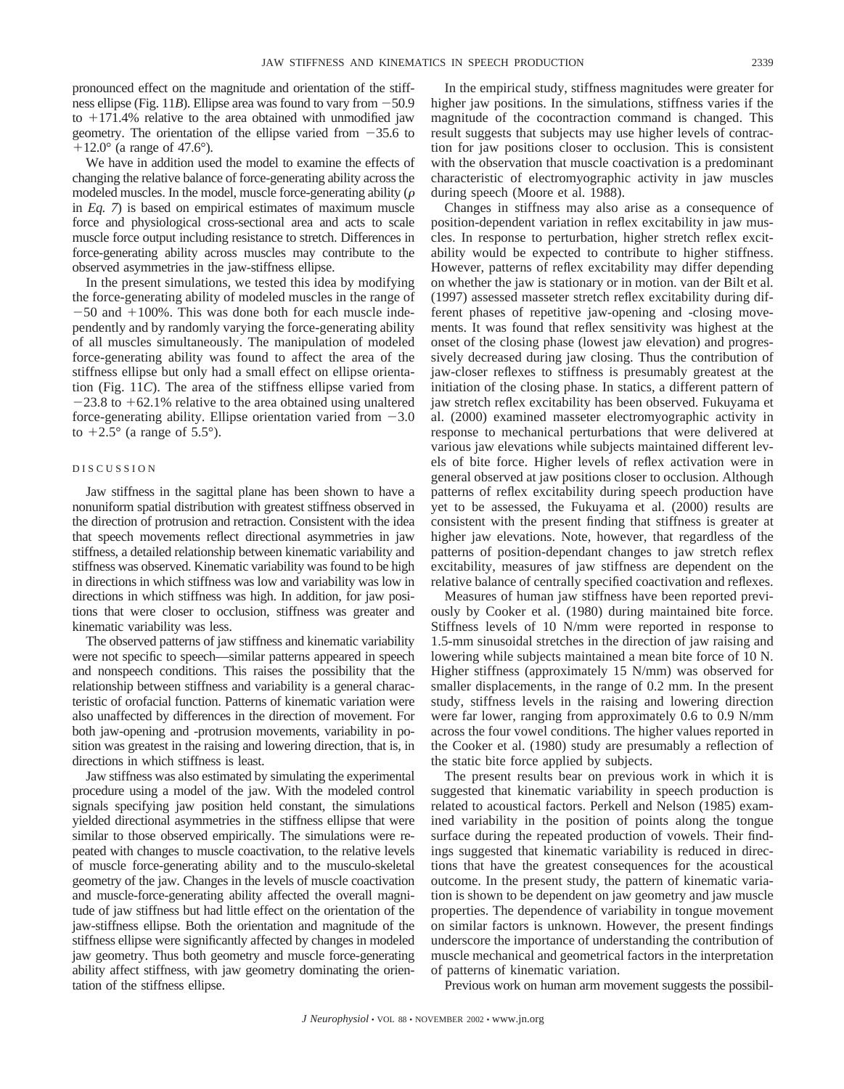pronounced effect on the magnitude and orientation of the stiffness ellipse (Fig. 11*B*). Ellipse area was found to vary from  $-50.9$ to  $+171.4\%$  relative to the area obtained with unmodified jaw geometry. The orientation of the ellipse varied from  $-35.6$  to  $+12.0^{\circ}$  (a range of 47.6°).

We have in addition used the model to examine the effects of changing the relative balance of force-generating ability across the modeled muscles. In the model, muscle force-generating ability  $(\rho)$ in *Eq. 7*) is based on empirical estimates of maximum muscle force and physiological cross-sectional area and acts to scale muscle force output including resistance to stretch. Differences in force-generating ability across muscles may contribute to the observed asymmetries in the jaw-stiffness ellipse.

In the present simulations, we tested this idea by modifying the force-generating ability of modeled muscles in the range of  $-50$  and  $+100\%$ . This was done both for each muscle independently and by randomly varying the force-generating ability of all muscles simultaneously. The manipulation of modeled force-generating ability was found to affect the area of the stiffness ellipse but only had a small effect on ellipse orientation (Fig. 11*C*). The area of the stiffness ellipse varied from  $-23.8$  to  $+62.1\%$  relative to the area obtained using unaltered force-generating ability. Ellipse orientation varied from  $-3.0$ to  $+2.5^{\circ}$  (a range of 5.5°).

## DISCUSSION

Jaw stiffness in the sagittal plane has been shown to have a nonuniform spatial distribution with greatest stiffness observed in the direction of protrusion and retraction. Consistent with the idea that speech movements reflect directional asymmetries in jaw stiffness, a detailed relationship between kinematic variability and stiffness was observed. Kinematic variability was found to be high in directions in which stiffness was low and variability was low in directions in which stiffness was high. In addition, for jaw positions that were closer to occlusion, stiffness was greater and kinematic variability was less.

The observed patterns of jaw stiffness and kinematic variability were not specific to speech—similar patterns appeared in speech and nonspeech conditions. This raises the possibility that the relationship between stiffness and variability is a general characteristic of orofacial function. Patterns of kinematic variation were also unaffected by differences in the direction of movement. For both jaw-opening and -protrusion movements, variability in position was greatest in the raising and lowering direction, that is, in directions in which stiffness is least.

Jaw stiffness was also estimated by simulating the experimental procedure using a model of the jaw. With the modeled control signals specifying jaw position held constant, the simulations yielded directional asymmetries in the stiffness ellipse that were similar to those observed empirically. The simulations were repeated with changes to muscle coactivation, to the relative levels of muscle force-generating ability and to the musculo-skeletal geometry of the jaw. Changes in the levels of muscle coactivation and muscle-force-generating ability affected the overall magnitude of jaw stiffness but had little effect on the orientation of the jaw-stiffness ellipse. Both the orientation and magnitude of the stiffness ellipse were significantly affected by changes in modeled jaw geometry. Thus both geometry and muscle force-generating ability affect stiffness, with jaw geometry dominating the orientation of the stiffness ellipse.

In the empirical study, stiffness magnitudes were greater for higher jaw positions. In the simulations, stiffness varies if the magnitude of the cocontraction command is changed. This result suggests that subjects may use higher levels of contraction for jaw positions closer to occlusion. This is consistent with the observation that muscle coactivation is a predominant characteristic of electromyographic activity in jaw muscles during speech (Moore et al. 1988).

Changes in stiffness may also arise as a consequence of position-dependent variation in reflex excitability in jaw muscles. In response to perturbation, higher stretch reflex excitability would be expected to contribute to higher stiffness. However, patterns of reflex excitability may differ depending on whether the jaw is stationary or in motion. van der Bilt et al. (1997) assessed masseter stretch reflex excitability during different phases of repetitive jaw-opening and -closing movements. It was found that reflex sensitivity was highest at the onset of the closing phase (lowest jaw elevation) and progressively decreased during jaw closing. Thus the contribution of jaw-closer reflexes to stiffness is presumably greatest at the initiation of the closing phase. In statics, a different pattern of jaw stretch reflex excitability has been observed. Fukuyama et al. (2000) examined masseter electromyographic activity in response to mechanical perturbations that were delivered at various jaw elevations while subjects maintained different levels of bite force. Higher levels of reflex activation were in general observed at jaw positions closer to occlusion. Although patterns of reflex excitability during speech production have yet to be assessed, the Fukuyama et al. (2000) results are consistent with the present finding that stiffness is greater at higher jaw elevations. Note, however, that regardless of the patterns of position-dependant changes to jaw stretch reflex excitability, measures of jaw stiffness are dependent on the relative balance of centrally specified coactivation and reflexes.

Measures of human jaw stiffness have been reported previously by Cooker et al. (1980) during maintained bite force. Stiffness levels of 10 N/mm were reported in response to 1.5-mm sinusoidal stretches in the direction of jaw raising and lowering while subjects maintained a mean bite force of 10 N. Higher stiffness (approximately 15 N/mm) was observed for smaller displacements, in the range of 0.2 mm. In the present study, stiffness levels in the raising and lowering direction were far lower, ranging from approximately 0.6 to 0.9 N/mm across the four vowel conditions. The higher values reported in the Cooker et al. (1980) study are presumably a reflection of the static bite force applied by subjects.

The present results bear on previous work in which it is suggested that kinematic variability in speech production is related to acoustical factors. Perkell and Nelson (1985) examined variability in the position of points along the tongue surface during the repeated production of vowels. Their findings suggested that kinematic variability is reduced in directions that have the greatest consequences for the acoustical outcome. In the present study, the pattern of kinematic variation is shown to be dependent on jaw geometry and jaw muscle properties. The dependence of variability in tongue movement on similar factors is unknown. However, the present findings underscore the importance of understanding the contribution of muscle mechanical and geometrical factors in the interpretation of patterns of kinematic variation.

Previous work on human arm movement suggests the possibil-